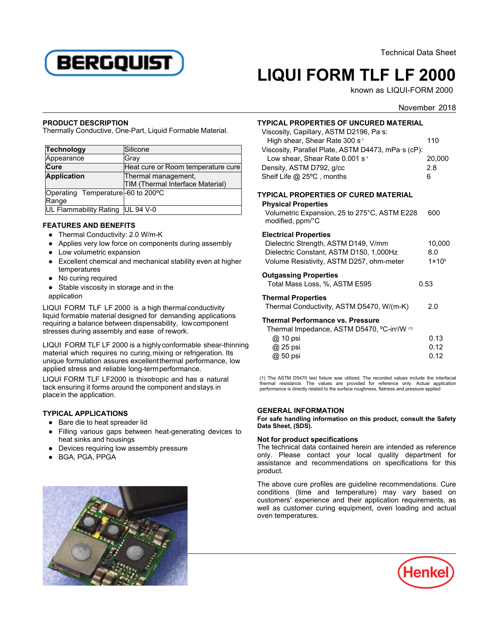Technical Data Sheet



# **LIQUI FORM TLF LF 2000**

known as LIQUI-FORM 2000

## November 2018

## **PRODUCT DESCRIPTION**

Thermally Conductive, One-Part, Liquid Formable Material.

| <b>Technology</b>                          | Silicone                                                |
|--------------------------------------------|---------------------------------------------------------|
| Appearance                                 | Grav                                                    |
| Cure                                       | Heat cure or Room temperature cure                      |
| <b>Application</b>                         | Thermal management,<br>TIM (Thermal Interface Material) |
| Operating Temperature-60 to 200°C<br>Range |                                                         |
| UL Flammability Rating UL 94 V-0           |                                                         |

## **FEATURES AND BENEFITS**

- Thermal Conductivity: 2.0 W/m-K
- Applies very low force on components during assembly
- Low volumetric expansion
- Excellent chemical and mechanical stability even at higher temperatures
- No curing required
- Stable viscosity in storage and in the application

LIQUI FORM TLF LF 2000 is a high thermalconductivity liquid formable material designed for demanding applications requiring <sup>a</sup> balance between dispensability, lowcomponent stresses during assembly and ease of rework.

LIQUI FORM TLF LF <sup>2000</sup> is <sup>a</sup> highlyconformable shear-thinning material which requires no curing,mixing or refrigeration. Its unique formulation assures excellentthermal performance, low applied stress and reliable long-termperformance.

LIQUI FORM TLF LF2000 is thixotropic and has a natural tack ensuring it forms around the component andstays in placein the application.

# **TYPICAL APPLICATIONS**

- Bare die to heat spreader lid
- Filling various gaps between heat-generating devices to heat sinks and housings
- Devices requiring low assembly pressure
- BGA, PGA, PPGA



## **GENERAL INFORMATION**

**For safe handling information on this product, consult the Safety Data Sheet, (SDS).**

## **Not for product specifications**

The technical data contained herein are intended as reference only. Please contact your local quality department for assistance and recommendations on specifications for this product.

The above cure profiles are guideline recommendations. Cure conditions (time and temperature) may vary based on conditions (time and temperature) may vary based on<br>customers' experience and their application requirements, as well as customer curing equipment, oven loading and actual weir as easterner e